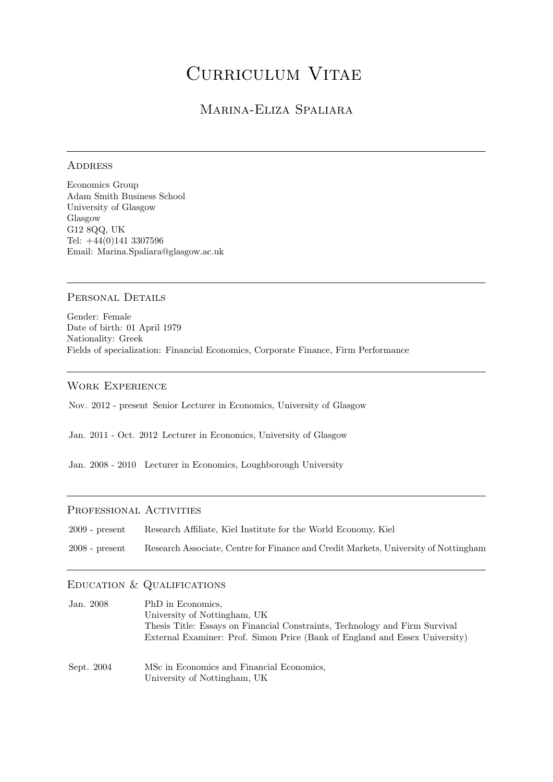# Curriculum Vitae

## Marina-Eliza Spaliara

## **ADDRESS**

Economics Group Adam Smith Business School University of Glasgow Glasgow G12 8QQ, UK Tel: +44(0)141 3307596 Email: Marina.Spaliara@glasgow.ac.uk

## PERSONAL DETAILS

Gender: Female Date of birth: 01 April 1979 Nationality: Greek Fields of specialization: Financial Economics, Corporate Finance, Firm Performance

## Work Experience

Nov. 2012 - present Senior Lecturer in Economics, University of Glasgow

Jan. 2011 - Oct. 2012 Lecturer in Economics, University of Glasgow

Jan. 2008 - 2010 Lecturer in Economics, Loughborough University

## PROFESSIONAL ACTIVITIES

| $2009$ - present | Research Affiliate, Kiel Institute for the World Economy, Kiel                      |
|------------------|-------------------------------------------------------------------------------------|
| $2008$ - present | Research Associate, Centre for Finance and Credit Markets, University of Nottingham |

## Education & Qualifications

| Jan. 2008  | PhD in Economics,                                                           |
|------------|-----------------------------------------------------------------------------|
|            | University of Nottingham, UK                                                |
|            | Thesis Title: Essays on Financial Constraints, Technology and Firm Survival |
|            | External Examiner: Prof. Simon Price (Bank of England and Essex University) |
| Sept. 2004 | MSc in Economics and Financial Economics.                                   |
|            | University of Nottingham, UK                                                |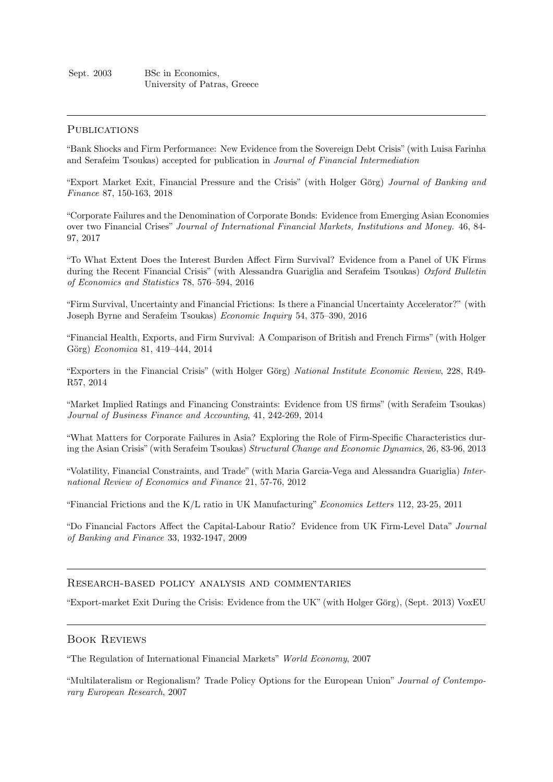## **PUBLICATIONS**

"Bank Shocks and Firm Performance: New Evidence from the Sovereign Debt Crisis" (with Luisa Farinha and Serafeim Tsoukas) accepted for publication in Journal of Financial Intermediation

"Export Market Exit, Financial Pressure and the Crisis" (with Holger Görg) Journal of Banking and Finance 87, 150-163, 2018

"Corporate Failures and the Denomination of Corporate Bonds: Evidence from Emerging Asian Economies over two Financial Crises" Journal of International Financial Markets, Institutions and Money. 46, 84- 97, 2017

"To What Extent Does the Interest Burden Affect Firm Survival? Evidence from a Panel of UK Firms during the Recent Financial Crisis" (with Alessandra Guariglia and Serafeim Tsoukas) Oxford Bulletin of Economics and Statistics 78, 576–594, 2016

"Firm Survival, Uncertainty and Financial Frictions: Is there a Financial Uncertainty Accelerator?" (with Joseph Byrne and Serafeim Tsoukas) Economic Inquiry 54, 375–390, 2016

"Financial Health, Exports, and Firm Survival: A Comparison of British and French Firms" (with Holger Görg) Economica 81, 419-444, 2014

"Exporters in the Financial Crisis" (with Holger Görg) National Institute Economic Review, 228, R49-R57, 2014

"Market Implied Ratings and Financing Constraints: Evidence from US firms" (with Serafeim Tsoukas) Journal of Business Finance and Accounting, 41, 242-269, 2014

"What Matters for Corporate Failures in Asia? Exploring the Role of Firm-Specific Characteristics during the Asian Crisis" (with Serafeim Tsoukas) Structural Change and Economic Dynamics, 26, 83-96, 2013

"Volatility, Financial Constraints, and Trade" (with Maria Garcia-Vega and Alessandra Guariglia) International Review of Economics and Finance 21, 57-76, 2012

"Financial Frictions and the K/L ratio in UK Manufacturing" Economics Letters 112, 23-25, 2011

"Do Financial Factors Affect the Capital-Labour Ratio? Evidence from UK Firm-Level Data" Journal of Banking and Finance 33, 1932-1947, 2009

## Research-based policy analysis and commentaries

"Export-market Exit During the Crisis: Evidence from the UK" (with Holger Görg), (Sept. 2013) VoxEU

## Book Reviews

"The Regulation of International Financial Markets" World Economy, 2007

"Multilateralism or Regionalism? Trade Policy Options for the European Union" Journal of Contemporary European Research, 2007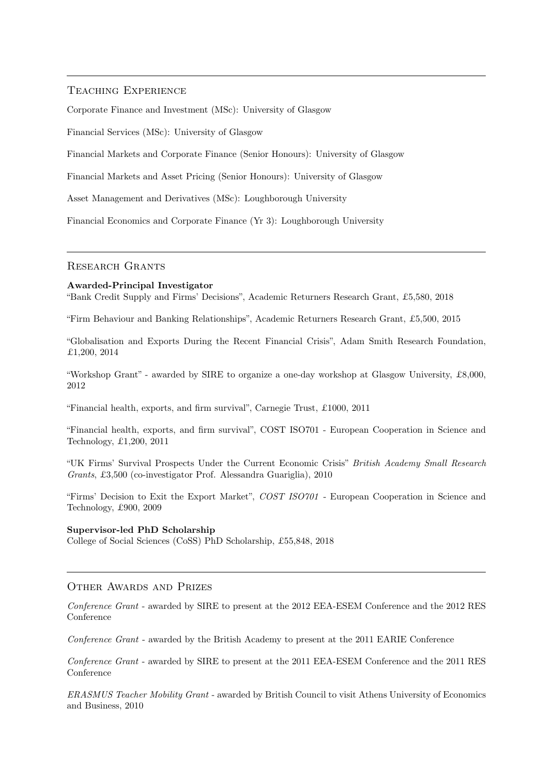## Teaching Experience

Corporate Finance and Investment (MSc): University of Glasgow

Financial Services (MSc): University of Glasgow

Financial Markets and Corporate Finance (Senior Honours): University of Glasgow

Financial Markets and Asset Pricing (Senior Honours): University of Glasgow

Asset Management and Derivatives (MSc): Loughborough University

Financial Economics and Corporate Finance (Yr 3): Loughborough University

#### Research Grants

#### Awarded-Principal Investigator

"Bank Credit Supply and Firms' Decisions", Academic Returners Research Grant, £5,580, 2018

"Firm Behaviour and Banking Relationships", Academic Returners Research Grant, £5,500, 2015

"Globalisation and Exports During the Recent Financial Crisis", Adam Smith Research Foundation, £1,200, 2014

"Workshop Grant" - awarded by SIRE to organize a one-day workshop at Glasgow University, £8,000, 2012

"Financial health, exports, and firm survival", Carnegie Trust, £1000, 2011

"Financial health, exports, and firm survival", COST ISO701 - European Cooperation in Science and Technology, £1,200, 2011

"UK Firms' Survival Prospects Under the Current Economic Crisis" British Academy Small Research Grants, £3,500 (co-investigator Prof. Alessandra Guariglia), 2010

"Firms' Decision to Exit the Export Market", COST ISO701 - European Cooperation in Science and Technology, £900, 2009

#### Supervisor-led PhD Scholarship

College of Social Sciences (CoSS) PhD Scholarship, £55,848, 2018

## OTHER AWARDS AND PRIZES

Conference Grant - awarded by SIRE to present at the 2012 EEA-ESEM Conference and the 2012 RES Conference

Conference Grant - awarded by the British Academy to present at the 2011 EARIE Conference

Conference Grant - awarded by SIRE to present at the 2011 EEA-ESEM Conference and the 2011 RES Conference

ERASMUS Teacher Mobility Grant - awarded by British Council to visit Athens University of Economics and Business, 2010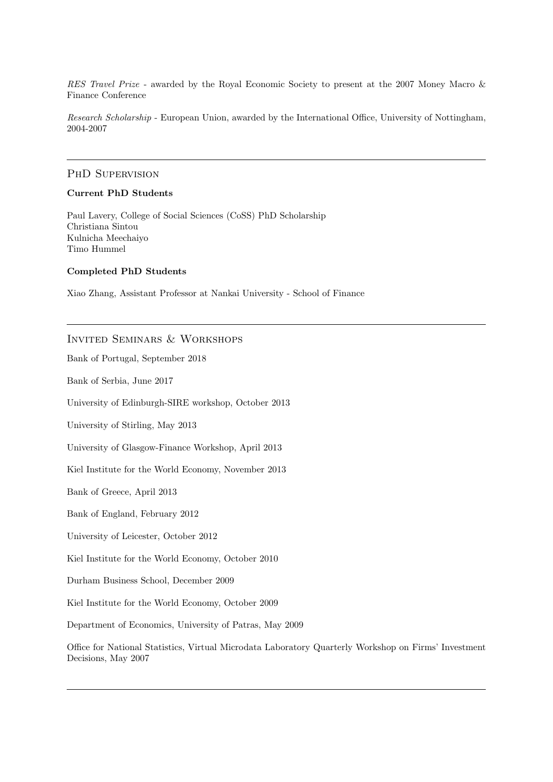RES Travel Prize - awarded by the Royal Economic Society to present at the 2007 Money Macro & Finance Conference

Research Scholarship - European Union, awarded by the International Office, University of Nottingham, 2004-2007

## PHD SUPERVISION

## Current PhD Students

Paul Lavery, College of Social Sciences (CoSS) PhD Scholarship Christiana Sintou Kulnicha Meechaiyo Timo Hummel

## Completed PhD Students

Xiao Zhang, Assistant Professor at Nankai University - School of Finance

## Invited Seminars & Workshops

Bank of Portugal, September 2018

Bank of Serbia, June 2017

University of Edinburgh-SIRE workshop, October 2013

University of Stirling, May 2013

University of Glasgow-Finance Workshop, April 2013

Kiel Institute for the World Economy, November 2013

Bank of Greece, April 2013

Bank of England, February 2012

University of Leicester, October 2012

Kiel Institute for the World Economy, October 2010

Durham Business School, December 2009

Kiel Institute for the World Economy, October 2009

Department of Economics, University of Patras, May 2009

Office for National Statistics, Virtual Microdata Laboratory Quarterly Workshop on Firms' Investment Decisions, May 2007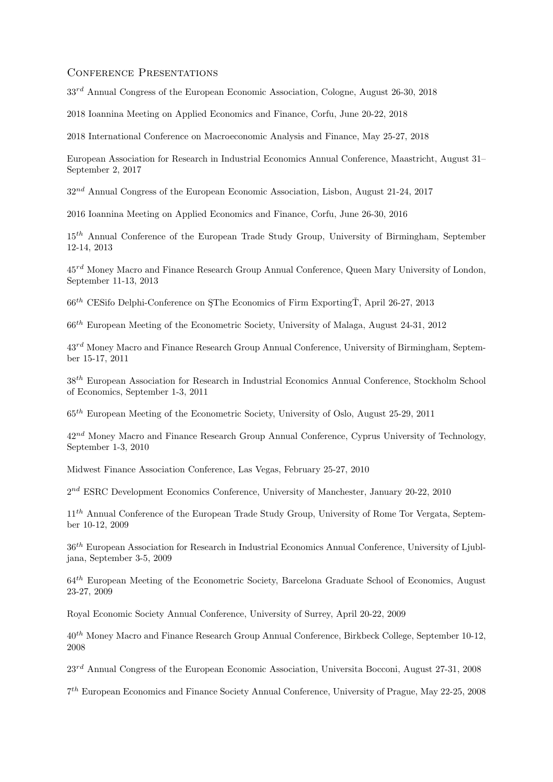## CONFERENCE PRESENTATIONS

 $33^{rd}$  Annual Congress of the European Economic Association, Cologne, August 26-30, 2018

2018 Ioannina Meeting on Applied Economics and Finance, Corfu, June 20-22, 2018

2018 International Conference on Macroeconomic Analysis and Finance, May 25-27, 2018

European Association for Research in Industrial Economics Annual Conference, Maastricht, August 31– September 2, 2017

 $32^{nd}$  Annual Congress of the European Economic Association, Lisbon, August 21-24, 2017

2016 Ioannina Meeting on Applied Economics and Finance, Corfu, June 26-30, 2016

 $15<sup>th</sup>$  Annual Conference of the European Trade Study Group, University of Birmingham, September 12-14, 2013

 $45<sup>rd</sup>$  Money Macro and Finance Research Group Annual Conference, Queen Mary University of London, September 11-13, 2013

 $66$ <sup>th</sup> CESifo Delphi-Conference on SThe Economics of Firm ExportingT, April 26-27, 2013

66th European Meeting of the Econometric Society, University of Malaga, August 24-31, 2012

 $43<sup>rd</sup>$  Money Macro and Finance Research Group Annual Conference, University of Birmingham, September 15-17, 2011

38<sup>th</sup> European Association for Research in Industrial Economics Annual Conference, Stockholm School of Economics, September 1-3, 2011

 $65<sup>th</sup>$  European Meeting of the Econometric Society, University of Oslo, August 25-29, 2011

 $42^{nd}$  Money Macro and Finance Research Group Annual Conference, Cyprus University of Technology, September 1-3, 2010

Midwest Finance Association Conference, Las Vegas, February 25-27, 2010

 $2^{nd}$  ESRC Development Economics Conference, University of Manchester, January 20-22, 2010

11<sup>th</sup> Annual Conference of the European Trade Study Group, University of Rome Tor Vergata, September 10-12, 2009

 $36<sup>th</sup>$  European Association for Research in Industrial Economics Annual Conference, University of Ljubljana, September 3-5, 2009

 $64<sup>th</sup>$  European Meeting of the Econometric Society, Barcelona Graduate School of Economics, August 23-27, 2009

Royal Economic Society Annual Conference, University of Surrey, April 20-22, 2009

40th Money Macro and Finance Research Group Annual Conference, Birkbeck College, September 10-12, 2008

 $23^{rd}$  Annual Congress of the European Economic Association, Universita Bocconi, August 27-31, 2008

7 th European Economics and Finance Society Annual Conference, University of Prague, May 22-25, 2008